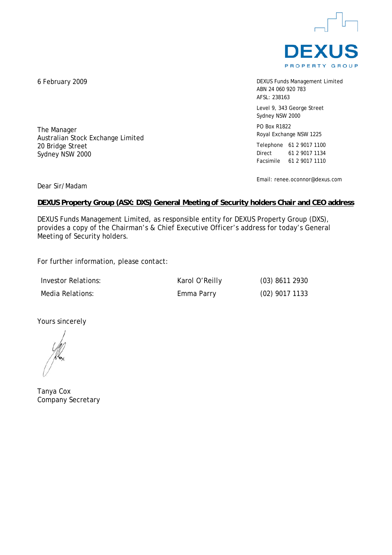

DEXUS Funds Management Limited ABN 24 060 920 783 AFSL: 238163

Level 9, 343 George Street Sydney NSW 2000

PO Box R1822 Royal Exchange NSW 1225

Telephone 61 2 9017 1100 Direct 61 2 9017 1134 Facsimile 61 2 9017 1110

Email: renee.oconnor@dexus.com

Dear Sir/Madam

20 Bridge Street Sydney NSW 2000

# **DEXUS Property Group (ASX: DXS) General Meeting of Security holders Chair and CEO address**

DEXUS Funds Management Limited, as responsible entity for DEXUS Property Group (DXS), provides a copy of the Chairman's & Chief Executive Officer's address for today's General Meeting of Security holders.

For further information, please contact:

Investor Relations: Karol O'Reilly (03) 8611 2930

Media Relations: Emma Parry (02) 9017 1133

Yours sincerely

Tanya Cox Company Secretary

6 February 2009

The Manager

Australian Stock Exchange Limited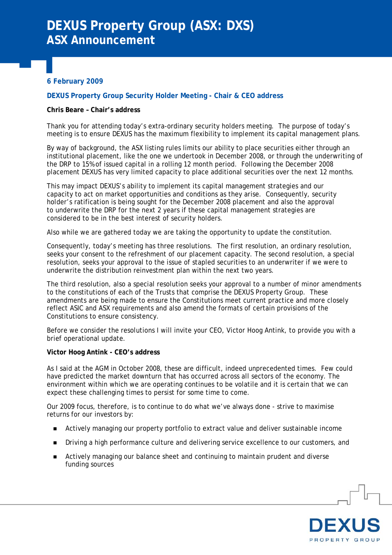# **6 February 2009**

### **DEXUS Property Group Security Holder Meeting - Chair & CEO address**

### **Chris Beare – Chair's address**

Thank you for attending today's extra-ordinary security holders meeting. The purpose of today's meeting is to ensure DEXUS has the maximum flexibility to implement its capital management plans.

By way of background, the ASX listing rules limits our ability to place securities either through an institutional placement, like the one we undertook in December 2008, or through the underwriting of the DRP to 15% of issued capital in a rolling 12 month period. Following the December 2008 placement DEXUS has very limited capacity to place additional securities over the next 12 months.

This may impact DEXUS's ability to implement its capital management strategies and our capacity to act on market opportunities and conditions as they arise. Consequently, security holder's ratification is being sought for the December 2008 placement and also the approval to underwrite the DRP for the next 2 years if these capital management strategies are considered to be in the best interest of security holders.

Also while we are gathered today we are taking the opportunity to update the constitution.

Consequently, today's meeting has three resolutions. The first resolution, an ordinary resolution, seeks your consent to the refreshment of our placement capacity. The second resolution, a special resolution, seeks your approval to the issue of stapled securities to an underwriter if we were to underwrite the distribution reinvestment plan within the next two years.

The third resolution, also a special resolution seeks your approval to a number of minor amendments to the constitutions of each of the Trusts that comprise the DEXUS Property Group. These amendments are being made to ensure the Constitutions meet current practice and more closely reflect ASIC and ASX requirements and also amend the formats of certain provisions of the Constitutions to ensure consistency.

Before we consider the resolutions I will invite your CEO, Victor Hoog Antink, to provide you with a brief operational update.

### **Victor Hoog Antink - CEO's address**

As I said at the AGM in October 2008, these are difficult, indeed unprecedented times. Few could have predicted the market downturn that has occurred across all sectors of the economy. The environment within which we are operating continues to be volatile and it is certain that we can expect these challenging times to persist for some time to come.

Our 2009 focus, therefore, is to continue to do what we've always done - strive to maximise returns for our investors by:

- **EXTERN** Actively managing our property portfolio to extract value and deliver sustainable income
- **Driving a high performance culture and delivering service excellence to our customers, and**
- Actively managing our balance sheet and continuing to maintain prudent and diverse funding sources

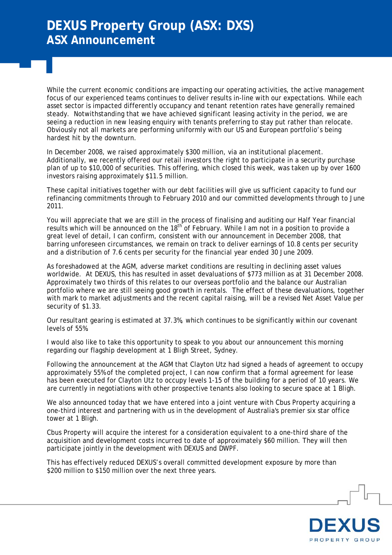While the current economic conditions are impacting our operating activities, the active management focus of our experienced teams continues to deliver results in-line with our expectations. While each asset sector is impacted differently occupancy and tenant retention rates have generally remained steady. Notwithstanding that we have achieved significant leasing activity in the period, we are seeing a reduction in new leasing enquiry with tenants preferring to stay put rather than relocate. Obviously not all markets are performing uniformly with our US and European portfolio's being hardest hit by the downturn.

In December 2008, we raised approximately \$300 million, via an institutional placement. Additionally, we recently offered our retail investors the right to participate in a security purchase plan of up to \$10,000 of securities. This offering, which closed this week, was taken up by over 1600 investors raising approximately \$11.5 million.

These capital initiatives together with our debt facilities will give us sufficient capacity to fund our refinancing commitments through to February 2010 and our committed developments through to June 2011.

You will appreciate that we are still in the process of finalising and auditing our Half Year financial results which will be announced on the 18<sup>th</sup> of February. While I am not in a position to provide a great level of detail, I can confirm, consistent with our announcement in December 2008, that barring unforeseen circumstances, we remain on track to deliver earnings of 10.8 cents per security and a distribution of 7.6 cents per security for the financial year ended 30 June 2009.

As foreshadowed at the AGM, adverse market conditions are resulting in declining asset values worldwide. At DEXUS, this has resulted in asset devaluations of \$773 million as at 31 December 2008. Approximately two thirds of this relates to our overseas portfolio and the balance our Australian portfolio where we are still seeing good growth in rentals. The effect of these devaluations, together with mark to market adjustments and the recent capital raising, will be a revised Net Asset Value per security of \$1.33.

Our resultant gearing is estimated at 37.3%, which continues to be significantly within our covenant levels of 55%.

I would also like to take this opportunity to speak to you about our announcement this morning regarding our flagship development at 1 Bligh Street, Sydney.

Following the announcement at the AGM that Clayton Utz had signed a heads of agreement to occupy approximately 55% of the completed project, I can now confirm that a formal agreement for lease has been executed for Clayton Utz to occupy levels 1-15 of the building for a period of 10 years. We are currently in negotiations with other prospective tenants also looking to secure space at 1 Bligh.

We also announced today that we have entered into a joint venture with Cbus Property acquiring a one-third interest and partnering with us in the development of Australia's premier six star office tower at 1 Bligh.

Cbus Property will acquire the interest for a consideration equivalent to a one-third share of the acquisition and development costs incurred to date of approximately \$60 million. They will then participate jointly in the development with DEXUS and DWPF.

This has effectively reduced DEXUS's overall committed development exposure by more than \$200 million to \$150 million over the next three years.